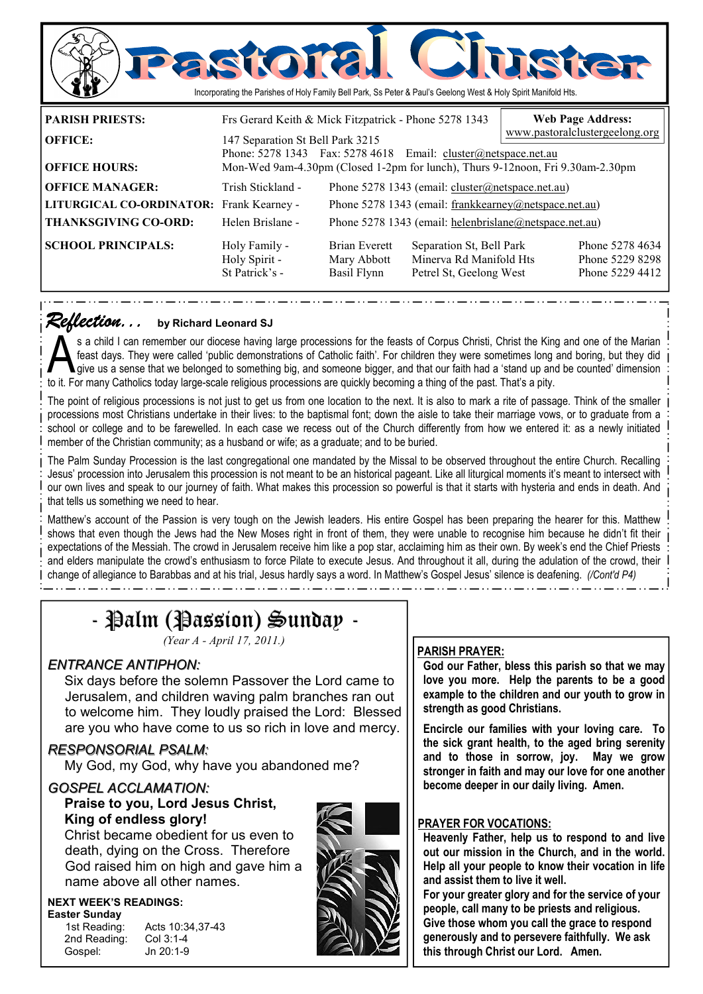

### *Reflection... Reflection...* **by Richard Leonard SJ**

s a child I can remember our diocese having large processions for the feasts of Corpus Christi, Christ the King and one of the Marian<br>feast days. They were called 'public demonstrations of Catholic faith'. For children the feast days. They were called 'public demonstrations of Catholic faith'. For children they were sometimes long and boring, but they did to it. For many Catholics today large-scale religious processions are quickly becoming a thing of the past. That's a pity.

The point of religious processions is not just to get us from one location to the next. It is also to mark a rite of passage. Think of the smaller processions most Christians undertake in their lives: to the baptismal font; down the aisle to take their marriage vows, or to graduate from a school or college and to be farewelled. In each case we recess out of the Church differently from how we entered it: as a newly initiated member of the Christian community; as a husband or wife; as a graduate; and to be buried.

The Palm Sunday Procession is the last congregational one mandated by the Missal to be observed throughout the entire Church. Recalling Jesus' procession into Jerusalem this procession is not meant to be an historical pageant. Like all liturgical moments it's meant to intersect with our own lives and speak to our journey of faith. What makes this procession so powerful is that it starts with hysteria and ends in death. And that tells us something we need to hear.

Matthew's account of the Passion is very tough on the Jewish leaders. His entire Gospel has been preparing the hearer for this. Matthew shows that even though the Jews had the New Moses right in front of them, they were unable to recognise him because he didn't fit their expectations of the Messiah. The crowd in Jerusalem receive him like a pop star, acclaiming him as their own. By week's end the Chief Priests and elders manipulate the crowd's enthusiasm to force Pilate to execute Jesus. And throughout it all, during the adulation of the crowd, their change of allegiance to Barabbas and at his trial, Jesus hardly says a word. In Matthew's Gospel Jesus' silence is deafening. *(/Cont'd P4)* 

# - Palm (Passion) Sunday -

*(Year A - April 17, 2011.)* 

## *ENTRANCE ANTIPHON:*

 Six days before the solemn Passover the Lord came to Jerusalem, and children waving palm branches ran out to welcome him. They loudly praised the Lord: Blessed are you who have come to us so rich in love and mercy.

#### *RESPONSORIAL PSALM:*

My God, my God, why have you abandoned me?

# *GOSPEL ACCLAMATION:*

## **Praise to you, Lord Jesus Christ, King of endless glory!**

Christ became obedient for us even to death, dying on the Cross. Therefore God raised him on high and gave him a name above all other names.

#### **NEXT WEEK'S READINGS: Easter Sunday**

| iətər ouriyay |  |
|---------------|--|
| 1st Reading:  |  |
| 2nd Reading:  |  |

Acts 10:34,37-43  $Col 3:1-4$ Gospel: Jn 20:1-9



### **PARISH PRAYER:**

**God our Father, bless this parish so that we may love you more. Help the parents to be a good example to the children and our youth to grow in strength as good Christians.** 

**Encircle our families with your loving care. To the sick grant health, to the aged bring serenity and to those in sorrow, joy. May we grow stronger in faith and may our love for one another become deeper in our daily living. Amen.** 

#### **PRAYER FOR VOCATIONS:**

**Heavenly Father, help us to respond to and live out our mission in the Church, and in the world. Help all your people to know their vocation in life and assist them to live it well.** 

**For your greater glory and for the service of your people, call many to be priests and religious. Give those whom you call the grace to respond generously and to persevere faithfully. We ask this through Christ our Lord. Amen.**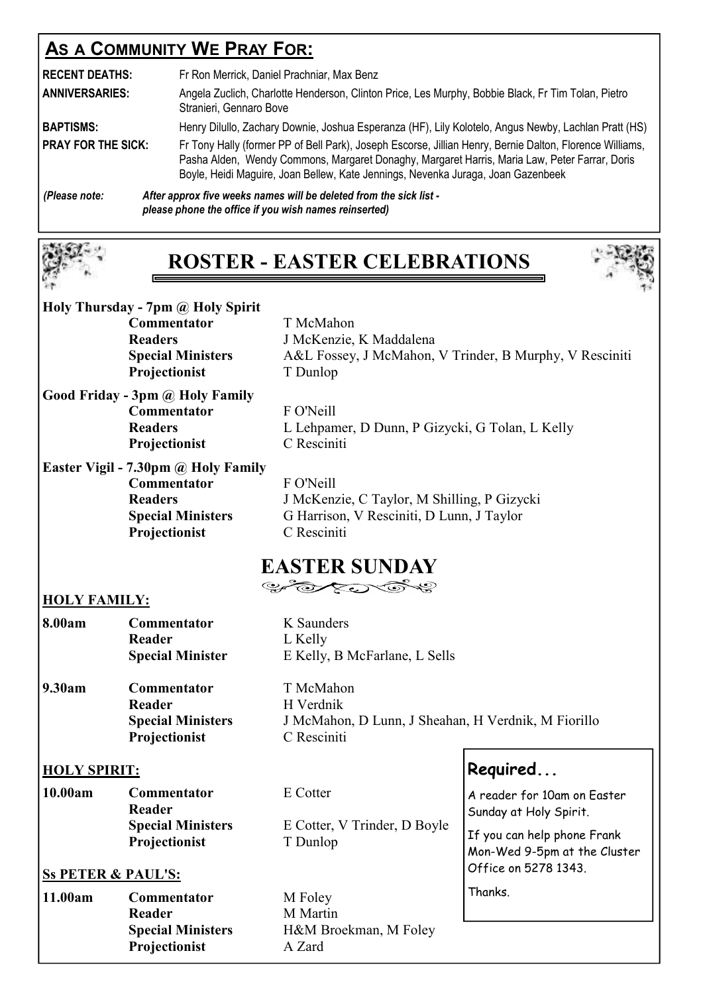# **AS A COMMUNITY WE PRAY FOR:**

| <b>RECENT DEATHS:</b><br><b>ANNIVERSARIES:</b> | Fr Ron Merrick, Daniel Prachniar, Max Benz<br>Angela Zuclich, Charlotte Henderson, Clinton Price, Les Murphy, Bobbie Black, Fr Tim Tolan, Pietro<br>Stranieri, Gennaro Bove                                                                                                                   |
|------------------------------------------------|-----------------------------------------------------------------------------------------------------------------------------------------------------------------------------------------------------------------------------------------------------------------------------------------------|
| <b>BAPTISMS:</b>                               | Henry Dilullo, Zachary Downie, Joshua Esperanza (HF), Lily Kolotelo, Angus Newby, Lachlan Pratt (HS)                                                                                                                                                                                          |
| <b>PRAY FOR THE SICK:</b>                      | Fr Tony Hally (former PP of Bell Park), Joseph Escorse, Jillian Henry, Bernie Dalton, Florence Williams,<br>Pasha Alden, Wendy Commons, Margaret Donaghy, Margaret Harris, Maria Law, Peter Farrar, Doris<br>Boyle, Heidi Maguire, Joan Bellew, Kate Jennings, Nevenka Juraga, Joan Gazenbeek |
| (Please note:                                  | After approx five weeks names will be deleted from the sick list -<br>please phone the office if you wish names reinserted)                                                                                                                                                                   |

# **ROSTER - EASTER CELEBRATIONS**



| Holy Thursday - 7pm @ Holy Spirit |  |  |
|-----------------------------------|--|--|
| <b>Commentator</b>                |  |  |
| <b>Doodovg</b>                    |  |  |

 **Commentator** T McMahon **Readers** J McKenzie, K Maddalena **Special Ministers** A&L Fossey, J McMahon, V Trinder, B Murphy, V Resciniti **Projectionist T** Dunlop

**Good Friday - 3pm @ Holy Family Commentator** F O'Neill **Readers** L Lehpamer, D Dunn, P Gizycki, G Tolan, L Kelly **Projectionist** C Resciniti

**Easter Vigil - 7.30pm @ Holy Family Commentator** F O'Neill **Projectionist** C Resciniti

**Readers** J McKenzie, C Taylor, M Shilling, P Gizycki **Special Ministers** G Harrison, V Resciniti, D Lunn, J Taylor

# **EASTER SUNDAY**

## **HOLY FAMILY:**

| 8.00am | <b>Commentator</b><br>Reader<br><b>Special Minister</b> | K Saunders<br>L Kelly<br>E Kelly, B McFarlane, L Sells |
|--------|---------------------------------------------------------|--------------------------------------------------------|
| 9.30am | Commentator                                             | T McMahon                                              |
|        | Reader                                                  | H Verdnik                                              |
|        | <b>Special Ministers</b>                                | J McMahon, D Lunn, J Sheahan, H Verdnik, M Fiorillo    |

**HOLY SPIRIT:**

| 10.00am | <b>Commentator</b>       | E Cotter                     |
|---------|--------------------------|------------------------------|
|         | <b>Reader</b>            |                              |
|         | <b>Special Ministers</b> | E Cotter, V Trinder, D Boyle |
|         | <b>Projectionist</b>     | T Dunlop                     |

**Projectionist** C Resciniti

## **Ss PETER & PAUL'S:**

| Commentator              |
|--------------------------|
| Reader                   |
| <b>Special Ministers</b> |
| Projectionist            |
|                          |

**11.00** Foley **M** Martin **Special Ministers** H&M Broekman, M Foley **Projectionist** A Zard

**Required...** 

A reader for 10am on Easter Sunday at Holy Spirit.

If you can help phone Frank Mon-Wed 9-5pm at the Cluster Office on 5278 1343.

Thanks.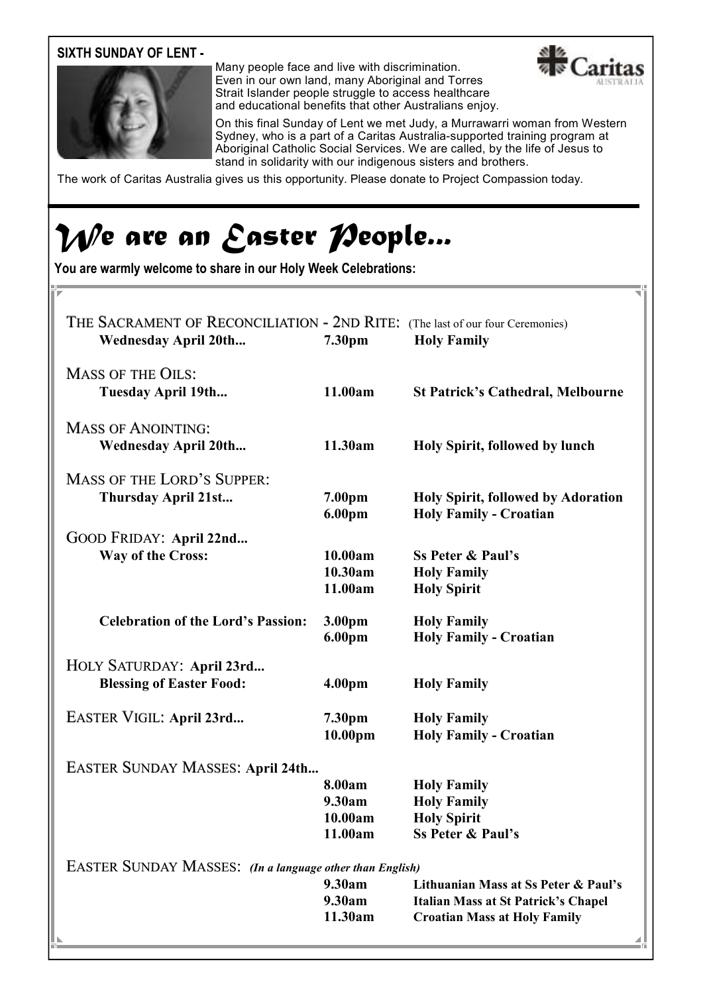## **SIXTH SUNDAY OF LENT -**



Many people face and live with discrimination. Even in our own land, many Aboriginal and Torres Strait Islander people struggle to access healthcare and educational benefits that other Australians enjoy.



On this final Sunday of Lent we met Judy, a Murrawarri woman from Western Sydney, who is a part of a Caritas Australia-supported training program at Aboriginal Catholic Social Services. We are called, by the life of Jesus to stand in solidarity with our indigenous sisters and brothers.

The work of Caritas Australia gives us this opportunity. Please donate to Project Compassion today.

# *We are an Easter People...*

**You are warmly welcome to share in our Holy Week Celebrations:** 

| THE SACRAMENT OF RECONCILIATION - 2ND RITE: (The last of our four Ceremonies)<br><b>Wednesday April 20th</b> | 7.30pm                                 | <b>Holy Family</b>                                                                                                        |
|--------------------------------------------------------------------------------------------------------------|----------------------------------------|---------------------------------------------------------------------------------------------------------------------------|
| <b>MASS OF THE OILS:</b><br>Tuesday April 19th                                                               | 11.00am                                | <b>St Patrick's Cathedral, Melbourne</b>                                                                                  |
| <b>MASS OF ANOINTING:</b><br><b>Wednesday April 20th</b>                                                     | 11.30am                                | Holy Spirit, followed by lunch                                                                                            |
| <b>MASS OF THE LORD'S SUPPER:</b><br>Thursday April 21st                                                     | 7.00pm<br>6.00pm                       | <b>Holy Spirit, followed by Adoration</b><br><b>Holy Family - Croatian</b>                                                |
| GOOD FRIDAY: April 22nd<br>Way of the Cross:                                                                 | 10.00am<br>10.30am<br>11.00am          | <b>Ss Peter &amp; Paul's</b><br><b>Holy Family</b><br><b>Holy Spirit</b>                                                  |
| <b>Celebration of the Lord's Passion:</b>                                                                    | 3.00pm<br>6.00pm                       | <b>Holy Family</b><br><b>Holy Family - Croatian</b>                                                                       |
| HOLY SATURDAY: April 23rd<br><b>Blessing of Easter Food:</b>                                                 | 4.00 <sub>pm</sub>                     | <b>Holy Family</b>                                                                                                        |
| EASTER VIGIL: April 23rd                                                                                     | 7.30pm<br>10.00pm                      | <b>Holy Family</b><br><b>Holy Family - Croatian</b>                                                                       |
| EASTER SUNDAY MASSES: April 24th                                                                             | 8.00am<br>9.30am<br>10.00am<br>11.00am | <b>Holy Family</b><br><b>Holy Family</b><br><b>Holy Spirit</b><br><b>Ss Peter &amp; Paul's</b>                            |
| <b>EASTER SUNDAY MASSES:</b> (In a language other than English)                                              | 9.30am<br>9.30am<br>11.30am            | Lithuanian Mass at Ss Peter & Paul's<br><b>Italian Mass at St Patrick's Chapel</b><br><b>Croatian Mass at Holy Family</b> |